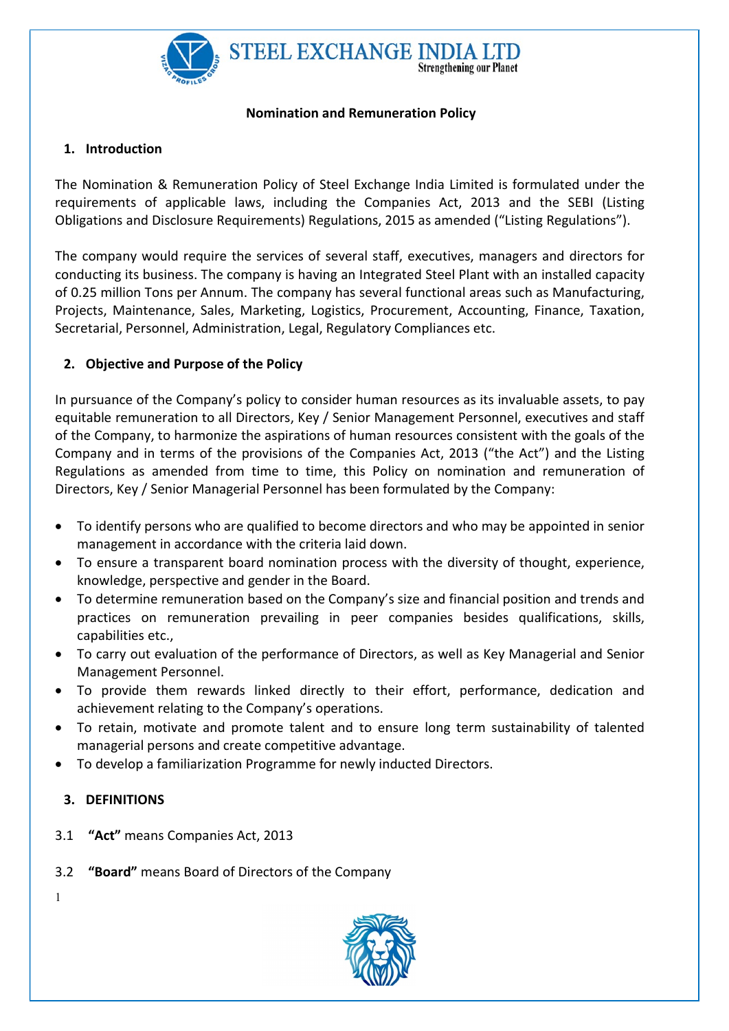

#### Nomination and Remuneration Policy

# 1. Introduction

The Nomination & Remuneration Policy of Steel Exchange India Limited is formulated under the requirements of applicable laws, including the Companies Act, 2013 and the SEBI (Listing Obligations and Disclosure Requirements) Regulations, 2015 as amended ("Listing Regulations").

The company would require the services of several staff, executives, managers and directors for conducting its business. The company is having an Integrated Steel Plant with an installed capacity of 0.25 million Tons per Annum. The company has several functional areas such as Manufacturing, Projects, Maintenance, Sales, Marketing, Logistics, Procurement, Accounting, Finance, Taxation, Secretarial, Personnel, Administration, Legal, Regulatory Compliances etc.

# 2. Objective and Purpose of the Policy

In pursuance of the Company's policy to consider human resources as its invaluable assets, to pay equitable remuneration to all Directors, Key / Senior Management Personnel, executives and staff of the Company, to harmonize the aspirations of human resources consistent with the goals of the Company and in terms of the provisions of the Companies Act, 2013 ("the Act") and the Listing Regulations as amended from time to time, this Policy on nomination and remuneration of Directors, Key / Senior Managerial Personnel has been formulated by the Company:

- To identify persons who are qualified to become directors and who may be appointed in senior management in accordance with the criteria laid down.
- To ensure a transparent board nomination process with the diversity of thought, experience, knowledge, perspective and gender in the Board.
- To determine remuneration based on the Company's size and financial position and trends and practices on remuneration prevailing in peer companies besides qualifications, skills, capabilities etc.,
- To carry out evaluation of the performance of Directors, as well as Key Managerial and Senior Management Personnel.
- To provide them rewards linked directly to their effort, performance, dedication and achievement relating to the Company's operations.
- To retain, motivate and promote talent and to ensure long term sustainability of talented managerial persons and create competitive advantage.
- To develop a familiarization Programme for newly inducted Directors.

## 3. DEFINITIONS

- 3.1 "Act" means Companies Act, 2013
- 3.2 "Board" means Board of Directors of the Company

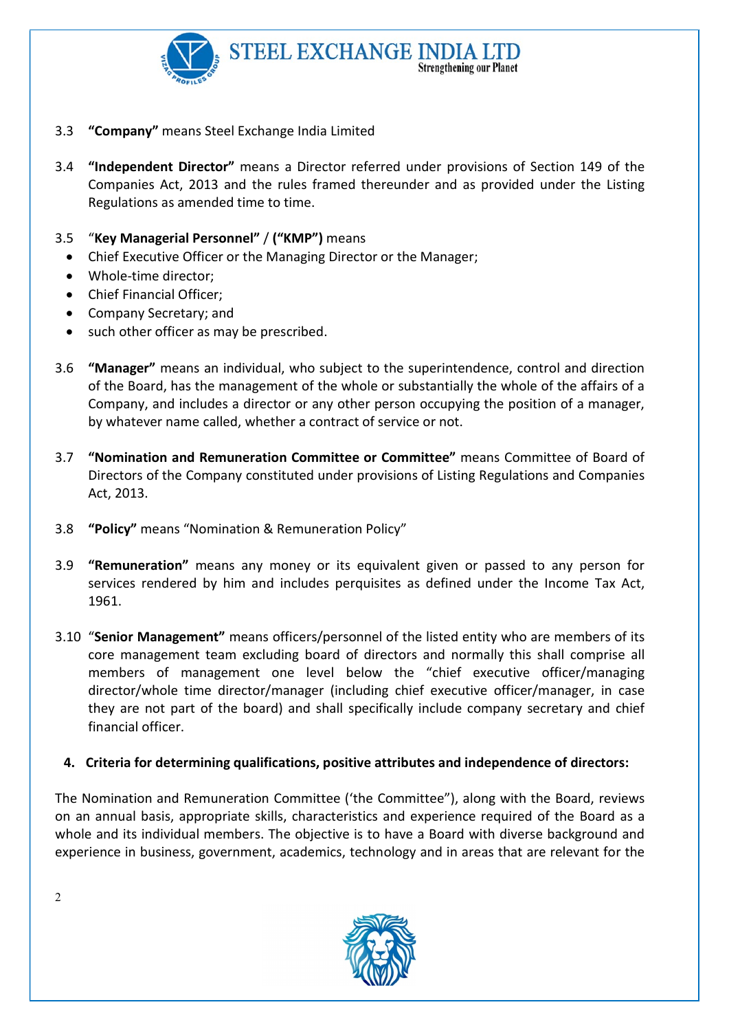

- 3.3 "Company" means Steel Exchange India Limited
- 3.4 "Independent Director" means a Director referred under provisions of Section 149 of the Companies Act, 2013 and the rules framed thereunder and as provided under the Listing Regulations as amended time to time.
- 3.5 "Key Managerial Personnel" / ("KMP") means
	- Chief Executive Officer or the Managing Director or the Manager;
	- Whole-time director:
	- Chief Financial Officer;
	- Company Secretary; and
	- such other officer as may be prescribed.
- 3.6 "Manager" means an individual, who subject to the superintendence, control and direction of the Board, has the management of the whole or substantially the whole of the affairs of a Company, and includes a director or any other person occupying the position of a manager, by whatever name called, whether a contract of service or not.
- 3.7 "Nomination and Remuneration Committee or Committee" means Committee of Board of Directors of the Company constituted under provisions of Listing Regulations and Companies Act, 2013.
- 3.8 "Policy" means "Nomination & Remuneration Policy"
- 3.9 "Remuneration" means any money or its equivalent given or passed to any person for services rendered by him and includes perquisites as defined under the Income Tax Act, 1961.
- 3.10 "Senior Management" means officers/personnel of the listed entity who are members of its core management team excluding board of directors and normally this shall comprise all members of management one level below the "chief executive officer/managing director/whole time director/manager (including chief executive officer/manager, in case they are not part of the board) and shall specifically include company secretary and chief financial officer.

## 4. Criteria for determining qualifications, positive attributes and independence of directors:

The Nomination and Remuneration Committee ('the Committee"), along with the Board, reviews on an annual basis, appropriate skills, characteristics and experience required of the Board as a whole and its individual members. The objective is to have a Board with diverse background and experience in business, government, academics, technology and in areas that are relevant for the

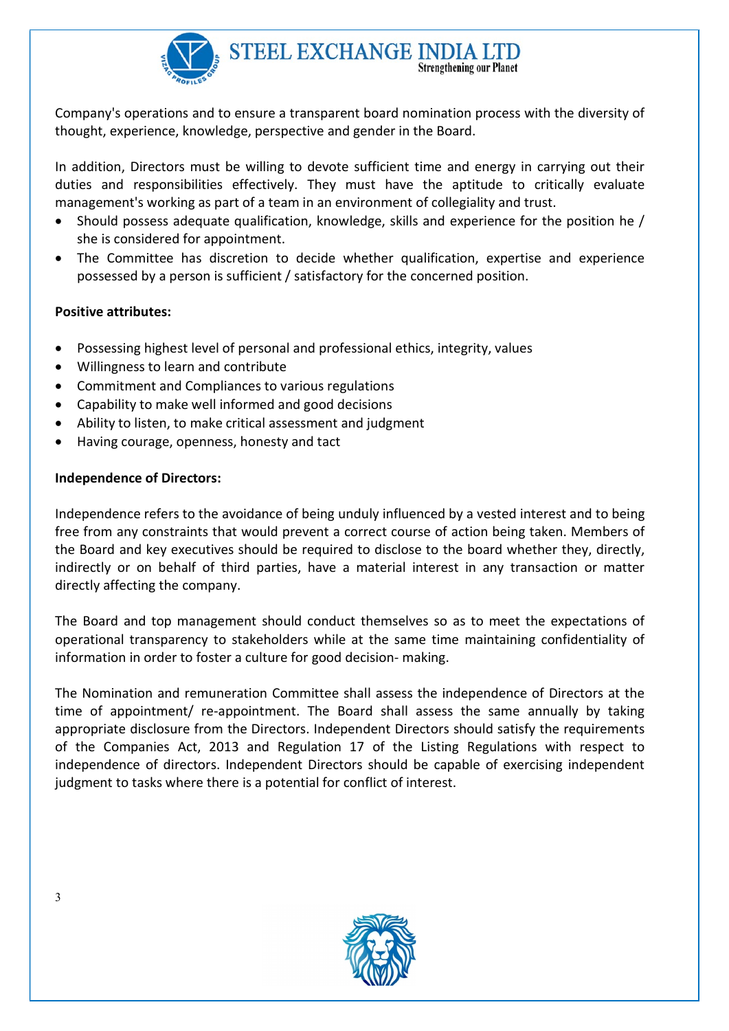

Company's operations and to ensure a transparent board nomination process with the diversity of thought, experience, knowledge, perspective and gender in the Board.

In addition, Directors must be willing to devote sufficient time and energy in carrying out their duties and responsibilities effectively. They must have the aptitude to critically evaluate management's working as part of a team in an environment of collegiality and trust.

- Should possess adequate qualification, knowledge, skills and experience for the position he / she is considered for appointment.
- The Committee has discretion to decide whether qualification, expertise and experience possessed by a person is sufficient / satisfactory for the concerned position.

#### Positive attributes:

- Possessing highest level of personal and professional ethics, integrity, values
- Willingness to learn and contribute
- Commitment and Compliances to various regulations
- Capability to make well informed and good decisions
- Ability to listen, to make critical assessment and judgment
- Having courage, openness, honesty and tact

## Independence of Directors:

Independence refers to the avoidance of being unduly influenced by a vested interest and to being free from any constraints that would prevent a correct course of action being taken. Members of the Board and key executives should be required to disclose to the board whether they, directly, indirectly or on behalf of third parties, have a material interest in any transaction or matter directly affecting the company.

The Board and top management should conduct themselves so as to meet the expectations of operational transparency to stakeholders while at the same time maintaining confidentiality of information in order to foster a culture for good decision- making.

The Nomination and remuneration Committee shall assess the independence of Directors at the time of appointment/ re-appointment. The Board shall assess the same annually by taking appropriate disclosure from the Directors. Independent Directors should satisfy the requirements of the Companies Act, 2013 and Regulation 17 of the Listing Regulations with respect to independence of directors. Independent Directors should be capable of exercising independent judgment to tasks where there is a potential for conflict of interest.

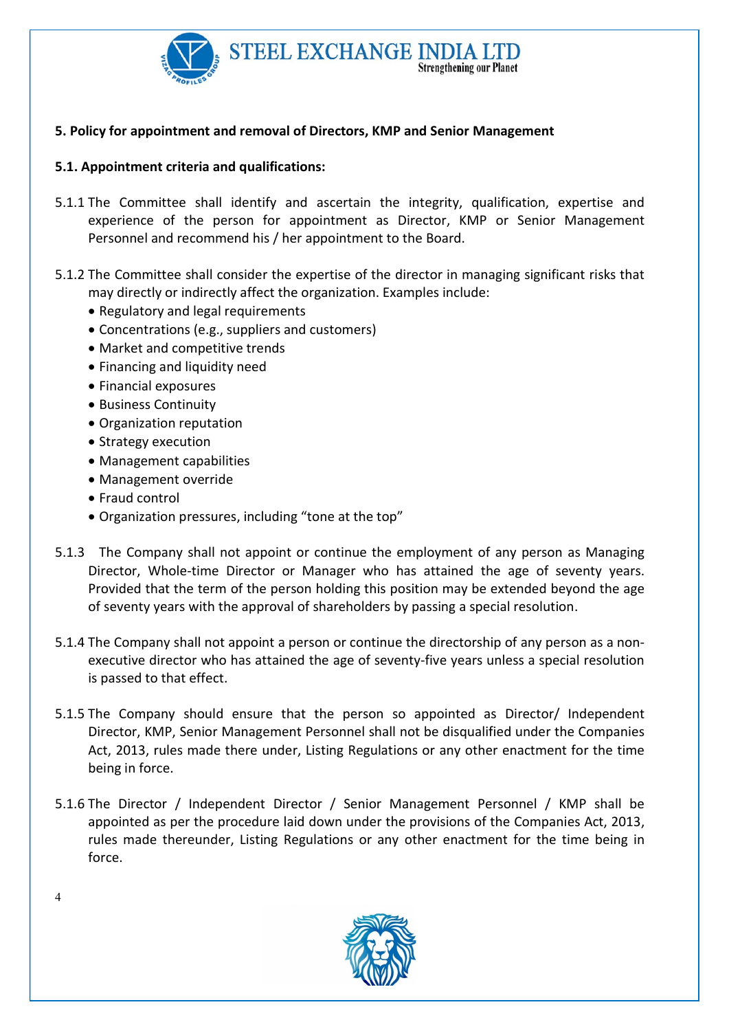

## 5. Policy for appointment and removal of Directors, KMP and Senior Management

## 5.1. Appointment criteria and qualifications:

- 5.1.1 The Committee shall identify and ascertain the integrity, qualification, expertise and experience of the person for appointment as Director, KMP or Senior Management Personnel and recommend his / her appointment to the Board.
- 5.1.2 The Committee shall consider the expertise of the director in managing significant risks that may directly or indirectly affect the organization. Examples include:
	- Regulatory and legal requirements
	- Concentrations (e.g., suppliers and customers)
	- Market and competitive trends
	- Financing and liquidity need
	- Financial exposures
	- Business Continuity
	- Organization reputation
	- Strategy execution
	- Management capabilities
	- Management override
	- Fraud control
	- Organization pressures, including "tone at the top"
- 5.1.3 The Company shall not appoint or continue the employment of any person as Managing Director, Whole-time Director or Manager who has attained the age of seventy years. Provided that the term of the person holding this position may be extended beyond the age of seventy years with the approval of shareholders by passing a special resolution.
- 5.1.4 The Company shall not appoint a person or continue the directorship of any person as a nonexecutive director who has attained the age of seventy-five years unless a special resolution is passed to that effect.
- 5.1.5 The Company should ensure that the person so appointed as Director/ Independent Director, KMP, Senior Management Personnel shall not be disqualified under the Companies Act, 2013, rules made there under, Listing Regulations or any other enactment for the time being in force.
- 5.1.6 The Director / Independent Director / Senior Management Personnel / KMP shall be appointed as per the procedure laid down under the provisions of the Companies Act, 2013, rules made thereunder, Listing Regulations or any other enactment for the time being in force.



 $\Delta$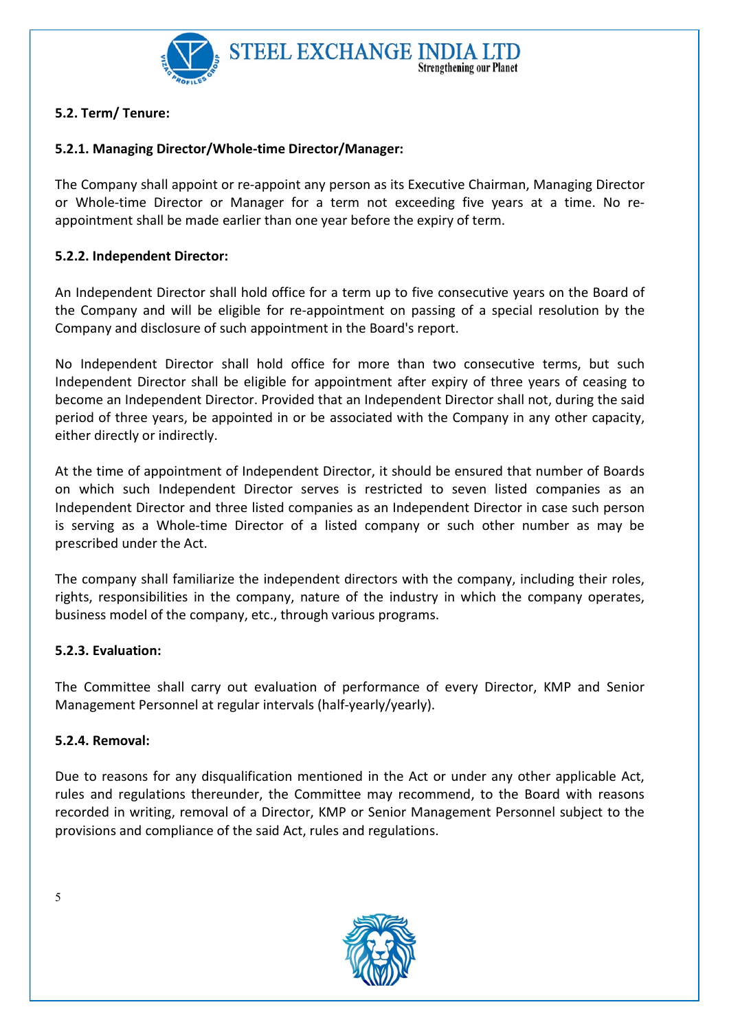

# 5.2. Term/ Tenure:

# 5.2.1. Managing Director/Whole-time Director/Manager:

The Company shall appoint or re-appoint any person as its Executive Chairman, Managing Director or Whole-time Director or Manager for a term not exceeding five years at a time. No reappointment shall be made earlier than one year before the expiry of term.

## 5.2.2. Independent Director:

An Independent Director shall hold office for a term up to five consecutive years on the Board of the Company and will be eligible for re-appointment on passing of a special resolution by the Company and disclosure of such appointment in the Board's report.

No Independent Director shall hold office for more than two consecutive terms, but such Independent Director shall be eligible for appointment after expiry of three years of ceasing to become an Independent Director. Provided that an Independent Director shall not, during the said period of three years, be appointed in or be associated with the Company in any other capacity, either directly or indirectly.

At the time of appointment of Independent Director, it should be ensured that number of Boards on which such Independent Director serves is restricted to seven listed companies as an Independent Director and three listed companies as an Independent Director in case such person is serving as a Whole-time Director of a listed company or such other number as may be prescribed under the Act.

The company shall familiarize the independent directors with the company, including their roles, rights, responsibilities in the company, nature of the industry in which the company operates, business model of the company, etc., through various programs.

## 5.2.3. Evaluation:

The Committee shall carry out evaluation of performance of every Director, KMP and Senior Management Personnel at regular intervals (half-yearly/yearly).

## 5.2.4. Removal:

Due to reasons for any disqualification mentioned in the Act or under any other applicable Act, rules and regulations thereunder, the Committee may recommend, to the Board with reasons recorded in writing, removal of a Director, KMP or Senior Management Personnel subject to the provisions and compliance of the said Act, rules and regulations.

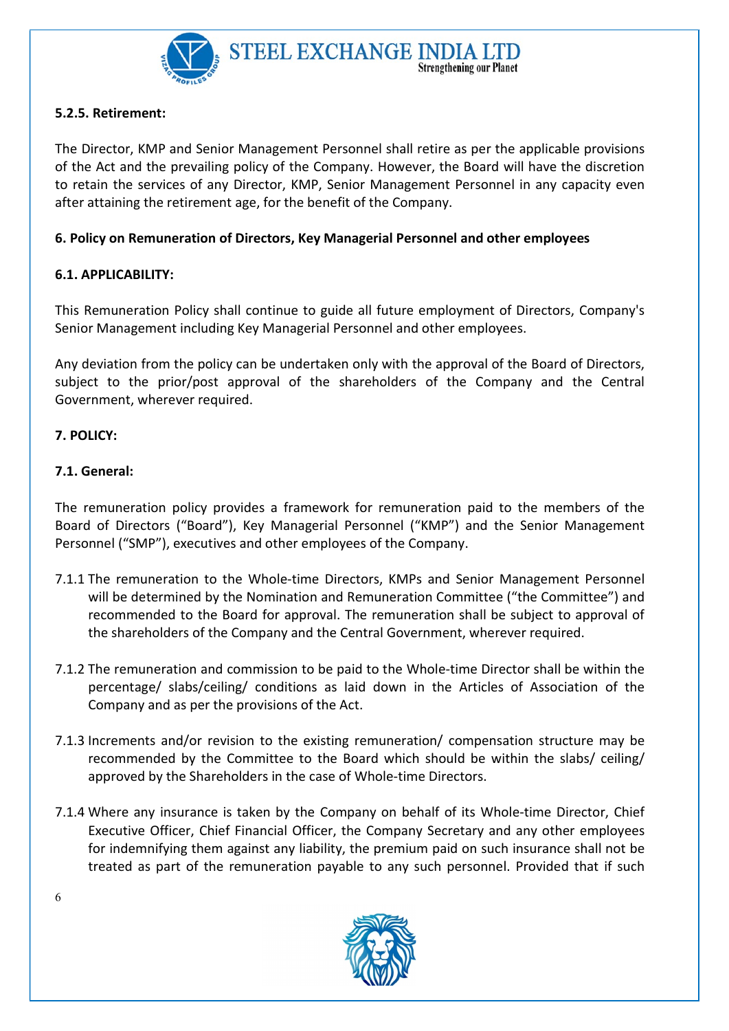

### 5.2.5. Retirement:

The Director, KMP and Senior Management Personnel shall retire as per the applicable provisions of the Act and the prevailing policy of the Company. However, the Board will have the discretion to retain the services of any Director, KMP, Senior Management Personnel in any capacity even after attaining the retirement age, for the benefit of the Company.

#### 6. Policy on Remuneration of Directors, Key Managerial Personnel and other employees

#### 6.1. APPLICABILITY:

This Remuneration Policy shall continue to guide all future employment of Directors, Company's Senior Management including Key Managerial Personnel and other employees.

Any deviation from the policy can be undertaken only with the approval of the Board of Directors, subject to the prior/post approval of the shareholders of the Company and the Central Government, wherever required.

#### 7. POLICY:

#### 7.1. General:

The remuneration policy provides a framework for remuneration paid to the members of the Board of Directors ("Board"), Key Managerial Personnel ("KMP") and the Senior Management Personnel ("SMP"), executives and other employees of the Company.

- 7.1.1 The remuneration to the Whole-time Directors, KMPs and Senior Management Personnel will be determined by the Nomination and Remuneration Committee ("the Committee") and recommended to the Board for approval. The remuneration shall be subject to approval of the shareholders of the Company and the Central Government, wherever required.
- 7.1.2 The remuneration and commission to be paid to the Whole-time Director shall be within the percentage/ slabs/ceiling/ conditions as laid down in the Articles of Association of the Company and as per the provisions of the Act.
- 7.1.3 Increments and/or revision to the existing remuneration/ compensation structure may be recommended by the Committee to the Board which should be within the slabs/ ceiling/ approved by the Shareholders in the case of Whole-time Directors.
- 7.1.4 Where any insurance is taken by the Company on behalf of its Whole-time Director, Chief Executive Officer, Chief Financial Officer, the Company Secretary and any other employees for indemnifying them against any liability, the premium paid on such insurance shall not be treated as part of the remuneration payable to any such personnel. Provided that if such

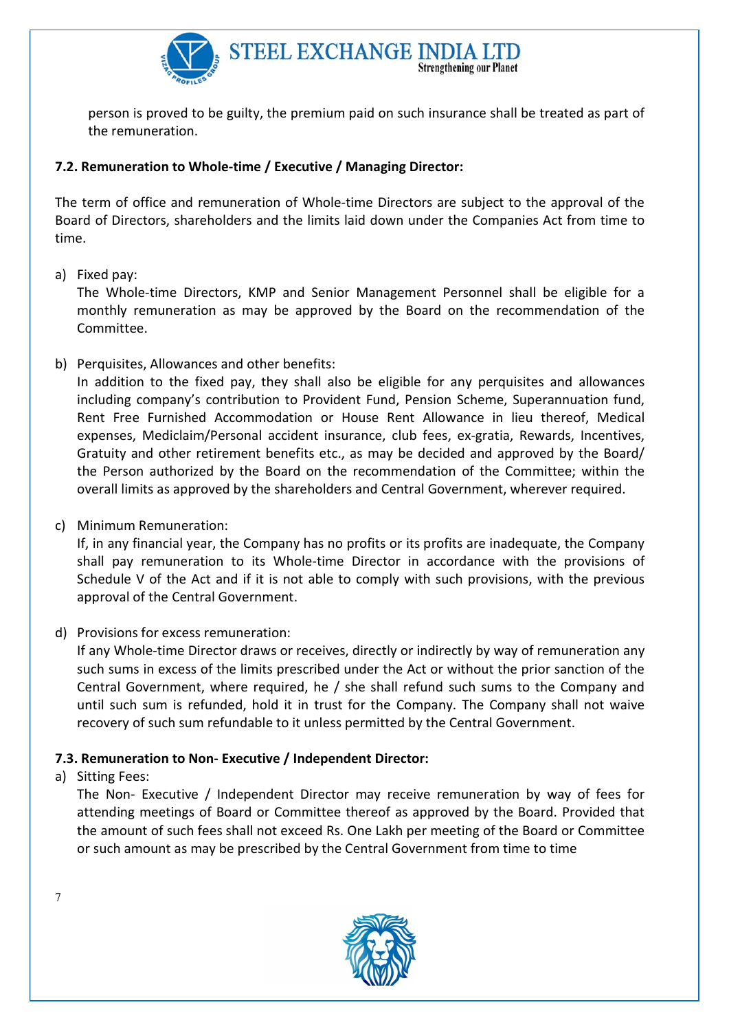

person is proved to be guilty, the premium paid on such insurance shall be treated as part of the remuneration.

## 7.2. Remuneration to Whole-time / Executive / Managing Director:

The term of office and remuneration of Whole-time Directors are subject to the approval of the Board of Directors, shareholders and the limits laid down under the Companies Act from time to time.

a) Fixed pay:

The Whole-time Directors, KMP and Senior Management Personnel shall be eligible for a monthly remuneration as may be approved by the Board on the recommendation of the Committee.

b) Perquisites, Allowances and other benefits:

In addition to the fixed pay, they shall also be eligible for any perquisites and allowances including company's contribution to Provident Fund, Pension Scheme, Superannuation fund, Rent Free Furnished Accommodation or House Rent Allowance in lieu thereof, Medical expenses, Mediclaim/Personal accident insurance, club fees, ex-gratia, Rewards, Incentives, Gratuity and other retirement benefits etc., as may be decided and approved by the Board/ the Person authorized by the Board on the recommendation of the Committee; within the overall limits as approved by the shareholders and Central Government, wherever required.

c) Minimum Remuneration:

If, in any financial year, the Company has no profits or its profits are inadequate, the Company shall pay remuneration to its Whole-time Director in accordance with the provisions of Schedule V of the Act and if it is not able to comply with such provisions, with the previous approval of the Central Government.

d) Provisions for excess remuneration:

If any Whole-time Director draws or receives, directly or indirectly by way of remuneration any such sums in excess of the limits prescribed under the Act or without the prior sanction of the Central Government, where required, he / she shall refund such sums to the Company and until such sum is refunded, hold it in trust for the Company. The Company shall not waive recovery of such sum refundable to it unless permitted by the Central Government.

## 7.3. Remuneration to Non- Executive / Independent Director:

a) Sitting Fees:

The Non- Executive / Independent Director may receive remuneration by way of fees for attending meetings of Board or Committee thereof as approved by the Board. Provided that the amount of such fees shall not exceed Rs. One Lakh per meeting of the Board or Committee or such amount as may be prescribed by the Central Government from time to time

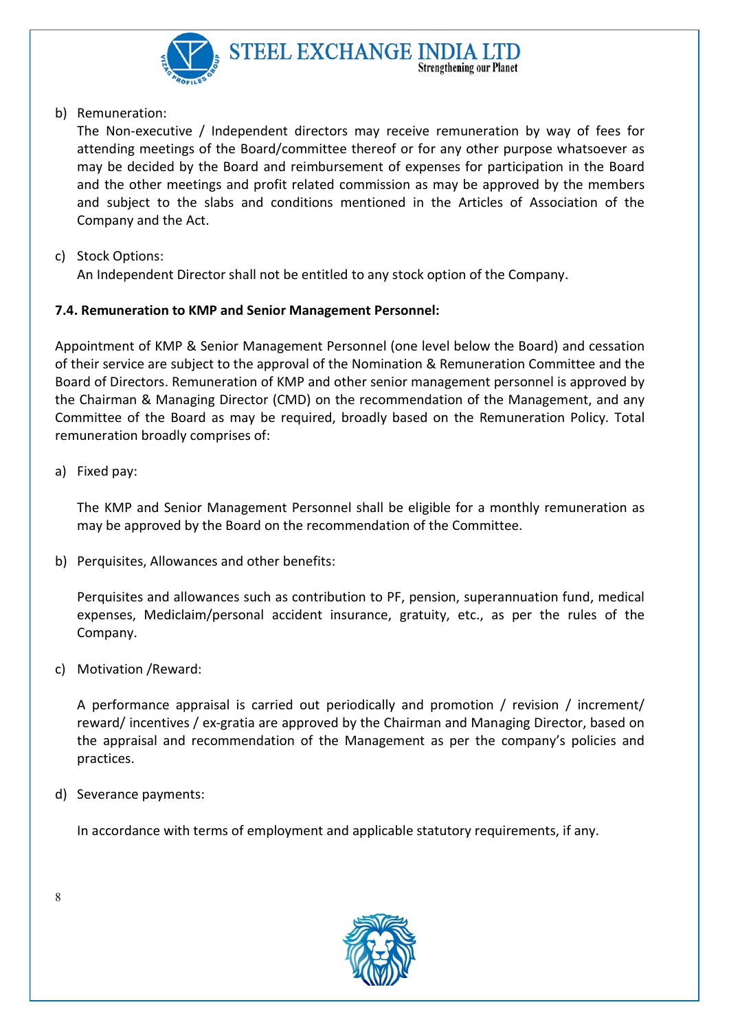

#### b) Remuneration:

The Non-executive / Independent directors may receive remuneration by way of fees for attending meetings of the Board/committee thereof or for any other purpose whatsoever as may be decided by the Board and reimbursement of expenses for participation in the Board and the other meetings and profit related commission as may be approved by the members and subject to the slabs and conditions mentioned in the Articles of Association of the Company and the Act.

c) Stock Options:

An Independent Director shall not be entitled to any stock option of the Company.

#### 7.4. Remuneration to KMP and Senior Management Personnel:

Appointment of KMP & Senior Management Personnel (one level below the Board) and cessation of their service are subject to the approval of the Nomination & Remuneration Committee and the Board of Directors. Remuneration of KMP and other senior management personnel is approved by the Chairman & Managing Director (CMD) on the recommendation of the Management, and any Committee of the Board as may be required, broadly based on the Remuneration Policy. Total remuneration broadly comprises of:

a) Fixed pay:

The KMP and Senior Management Personnel shall be eligible for a monthly remuneration as may be approved by the Board on the recommendation of the Committee.

b) Perquisites, Allowances and other benefits:

Perquisites and allowances such as contribution to PF, pension, superannuation fund, medical expenses, Mediclaim/personal accident insurance, gratuity, etc., as per the rules of the Company.

c) Motivation /Reward:

A performance appraisal is carried out periodically and promotion / revision / increment/ reward/ incentives / ex-gratia are approved by the Chairman and Managing Director, based on the appraisal and recommendation of the Management as per the company's policies and practices.

d) Severance payments:

In accordance with terms of employment and applicable statutory requirements, if any.